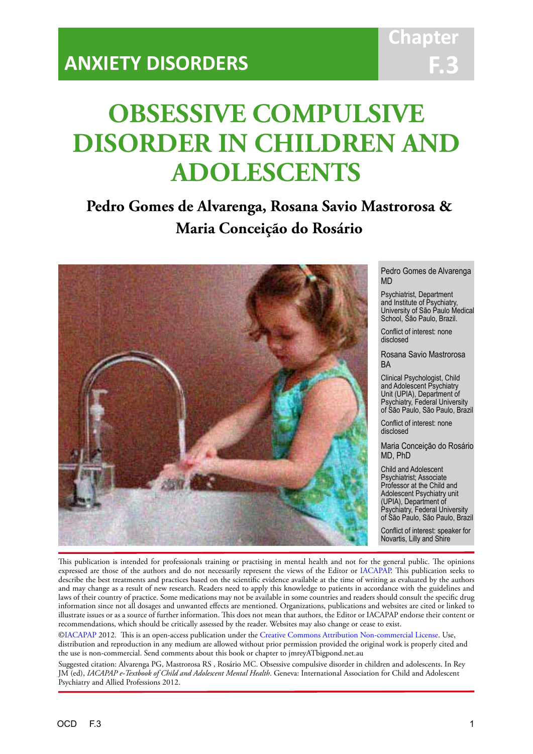# **Chapter F.3**

# **OBSESSIVE COMPULSIVE DISORDER IN CHILDREN AND ADOLESCENTS**

IACAPAP Textbook of Child and Adolescent Mental Health

# **Pedro Gomes de Alvarenga, Rosana Savio Mastrorosa & Maria Conceição do Rosário**



Pedro Gomes de Alvarenga MD

Psychiatrist, Department and Institute of Psychiatry, University of São Paulo Medical School, São Paulo, Brazil.

Conflict of interest: none disclosed

Rosana Savio Mastrorosa **RA** 

Clinical Psychologist, Child and Adolescent Psychiatry Unit (UPIA), Department of Psychiatry, Federal University of São Paulo, São Paulo, Brazil

Conflict of interest: none disclosed

Maria Conceição do Rosário MD, PhD

Child and Adolescent Psychiatrist; Associate Professor at the Child and Adolescent Psychiatry unit (UPIA), Department of Psychiatry, Federal University of São Paulo, São Paulo, Brazil

Conflict of interest: speaker for Novartis, Lilly and Shire

This publication is intended for professionals training or practising in mental health and not for the general public. The opinions expressed are those of the authors and do not necessarily represent the views of the Editor or IACAPAP. This publication seeks to describe the best treatments and practices based on the scientific evidence available at the time of writing as evaluated by the authors and may change as a result of new research. Readers need to apply this knowledge to patients in accordance with the guidelines and laws of their country of practice. Some medications may not be available in some countries and readers should consult the specific drug information since not all dosages and unwanted effects are mentioned. Organizations, publications and websites are cited or linked to illustrate issues or as a source of further information. This does not mean that authors, the Editor or IACAPAP endorse their content or recommendations, which should be critically assessed by the reader. Websites may also change or cease to exist.

[©IACAPAP](http://iacapap.org) 2012. This is an open-access publication under the [Creative Commons Attribution Non-commercial License](http://creativecommons.org). Use, distribution and reproduction in any medium are allowed without prior permission provided the original work is properly cited and the use is non-commercial. Send comments about this book or chapter to jmreyATbigpond.net.au

Suggested citation: Alvarenga PG, Mastrorosa RS , Rosário MC. Obsessive compulsive disorder in children and adolescents. In Rey JM (ed), *IACAPAP e-Textbook of Child and Adolescent Mental Health*. Geneva: International Association for Child and Adolescent Psychiatry and Allied Professions 2012.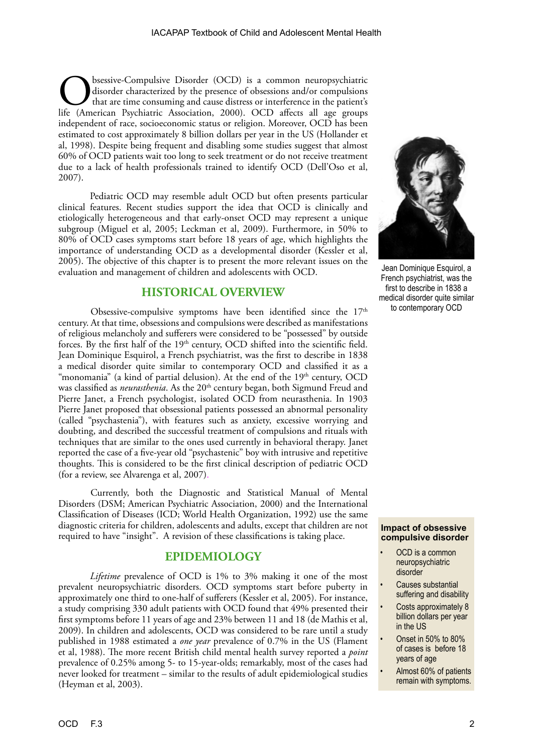**COMPULSIVE COMPULSIVE DISORTED IS A COMPUTER COMPUTER (Also computed as a common neuropsychiatric disorder characterized by the presence of obsessions and/or compulsions life (American Psychiatric Association, 2000). OCD** disorder characterized by the presence of obsessions and/or compulsions that are time consuming and cause distress or interference in the patient's independent of race, socioeconomic status or religion. Moreover, OCD has been estimated to cost approximately 8 billion dollars per year in the US (Hollander et al, 1998). Despite being frequent and disabling some studies suggest that almost 60% of OCD patients wait too long to seek treatment or do not receive treatment due to a lack of health professionals trained to identify OCD (Dell'Oso et al, 2007).

Pediatric OCD may resemble adult OCD but often presents particular clinical features. Recent studies support the idea that OCD is clinically and etiologically heterogeneous and that early-onset OCD may represent a unique subgroup (Miguel et al, 2005; Leckman et al, 2009). Furthermore, in 50% to 80% of OCD cases symptoms start before 18 years of age, which highlights the importance of understanding OCD as a developmental disorder (Kessler et al, 2005). The objective of this chapter is to present the more relevant issues on the evaluation and management of children and adolescents with OCD.

# **HISTORICAL OVERVIEW**

Obsessive-compulsive symptoms have been identified since the  $17<sup>th</sup>$ century. At that time, obsessions and compulsions were described as manifestations of religious melancholy and sufferers were considered to be "possessed" by outside forces. By the first half of the  $19<sup>th</sup>$  century, OCD shifted into the scientific field. Jean Dominique Esquirol, a French psychiatrist, was the first to describe in 1838 a medical disorder quite similar to contemporary OCD and classified it as a "monomania" (a kind of partial delusion). At the end of the  $19<sup>th</sup>$  century, OCD was classified as *neurasthenia*. As the 20<sup>th</sup> century began, both Sigmund Freud and Pierre Janet, a French psychologist, isolated OCD from neurasthenia. In 1903 Pierre Janet proposed that obsessional patients possessed an abnormal personality (called "psychastenia"), with features such as anxiety, excessive worrying and doubting, and described the successful treatment of compulsions and rituals with techniques that are similar to the ones used currently in behavioral therapy. Janet reported the case of a five-year old "psychastenic" boy with intrusive and repetitive thoughts. This is considered to be the first clinical description of pediatric OCD (for a review, see Alvarenga et al, 2007).

Currently, both the Diagnostic and Statistical Manual of Mental Disorders (DSM; American Psychiatric Association, 2000) and the International Classification of Diseases (ICD; World Health Organization, 1992) use the same diagnostic criteria for children, adolescents and adults, except that children are not required to have "insight". A revision of these classifications is taking place.

# **EPIDEMIOLOGY**

*Lifetime* prevalence of OCD is 1% to 3% making it one of the most prevalent neuropsychiatric disorders. OCD symptoms start before puberty in approximately one third to one-half of sufferers (Kessler et al, 2005). For instance, a study comprising 330 adult patients with OCD found that 49% presented their first symptoms before 11 years of age and 23% between 11 and 18 (de Mathis et al, 2009). In children and adolescents, OCD was considered to be rare until a study published in 1988 estimated a *one year* prevalence of 0.7% in the US (Flament et al, 1988). The more recent British child mental health survey reported a *point* prevalence of 0.25% among 5- to 15-year-olds; remarkably, most of the cases had never looked for treatment – similar to the results of adult epidemiological studies (Heyman et al, 2003).



Jean Dominique Esquirol, a French psychiatrist, was the first to describe in 1838 a medical disorder quite similar to contemporary OCD

#### **Impact of obsessive compulsive disorder**

- OCD is a common neuropsychiatric disorder
- Causes substantial suffering and disability
- Costs approximately 8 billion dollars per year in the US
- Onset in 50% to 80% of cases is before 18 years of age
- Almost 60% of patients remain with symptoms.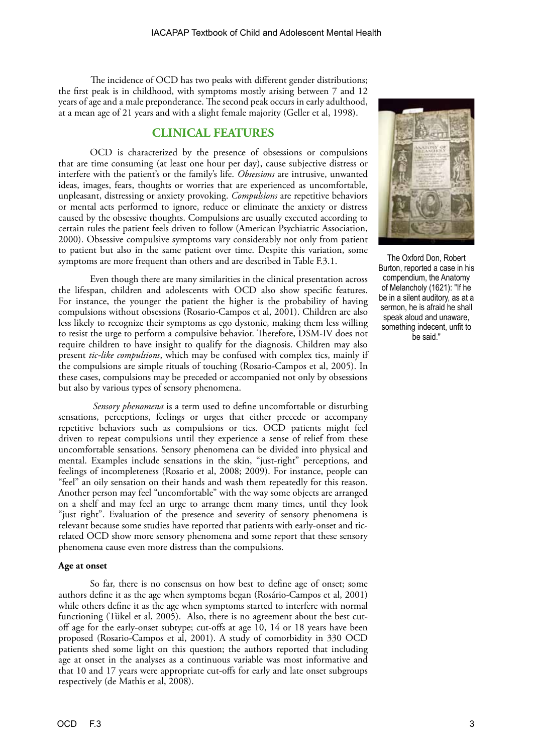The incidence of OCD has two peaks with different gender distributions; the first peak is in childhood, with symptoms mostly arising between 7 and 12 years of age and a male preponderance. The second peak occurs in early adulthood, at a mean age of 21 years and with a slight female majority (Geller et al, 1998).

# **CLINICAL FEATURES**

OCD is characterized by the presence of obsessions or compulsions that are time consuming (at least one hour per day), cause subjective distress or interfere with the patient's or the family's life. *Obsessions* are intrusive, unwanted ideas, images, fears, thoughts or worries that are experienced as uncomfortable, unpleasant, distressing or anxiety provoking. *Compulsions* are repetitive behaviors or mental acts performed to ignore, reduce or eliminate the anxiety or distress caused by the obsessive thoughts. Compulsions are usually executed according to certain rules the patient feels driven to follow (American Psychiatric Association, 2000). Obsessive compulsive symptoms vary considerably not only from patient to patient but also in the same patient over time. Despite this variation, some symptoms are more frequent than others and are described in Table F.3.1.

Even though there are many similarities in the clinical presentation across the lifespan, children and adolescents with OCD also show specific features. For instance, the younger the patient the higher is the probability of having compulsions without obsessions (Rosario-Campos et al, 2001). Children are also less likely to recognize their symptoms as ego dystonic, making them less willing to resist the urge to perform a compulsive behavior. Therefore, DSM-IV does not require children to have insight to qualify for the diagnosis. Children may also present *tic-like compulsions*, which may be confused with complex tics, mainly if the compulsions are simple rituals of touching (Rosario-Campos et al, 2005). In these cases, compulsions may be preceded or accompanied not only by obsessions but also by various types of sensory phenomena.

*Sensory phenomena* is a term used to define uncomfortable or disturbing sensations, perceptions, feelings or urges that either precede or accompany repetitive behaviors such as compulsions or tics. OCD patients might feel driven to repeat compulsions until they experience a sense of relief from these uncomfortable sensations. Sensory phenomena can be divided into physical and mental. Examples include sensations in the skin, "just-right" perceptions, and feelings of incompleteness (Rosario et al, 2008; 2009). For instance, people can "feel" an oily sensation on their hands and wash them repeatedly for this reason. Another person may feel "uncomfortable" with the way some objects are arranged on a shelf and may feel an urge to arrange them many times, until they look "just right". Evaluation of the presence and severity of sensory phenomena is relevant because some studies have reported that patients with early-onset and ticrelated OCD show more sensory phenomena and some report that these sensory phenomena cause even more distress than the compulsions.

#### **Age at onset**

So far, there is no consensus on how best to define age of onset; some authors define it as the age when symptoms began (Rosário-Campos et al, 2001) while others define it as the age when symptoms started to interfere with normal functioning (Tükel et al, 2005). Also, there is no agreement about the best cutoff age for the early-onset subtype; cut-offs at age 10, 14 or 18 years have been proposed (Rosario-Campos et al, 2001). A study of comorbidity in 330 OCD patients shed some light on this question; the authors reported that including age at onset in the analyses as a continuous variable was most informative and that 10 and 17 years were appropriate cut-offs for early and late onset subgroups respectively (de Mathis et al, 2008).



The Oxford Don, Robert Burton, reported a case in his compendium, the Anatomy of Melancholy (1621): "If he be in a silent auditory, as at a sermon, he is afraid he shall speak aloud and unaware, something indecent, unfit to be said."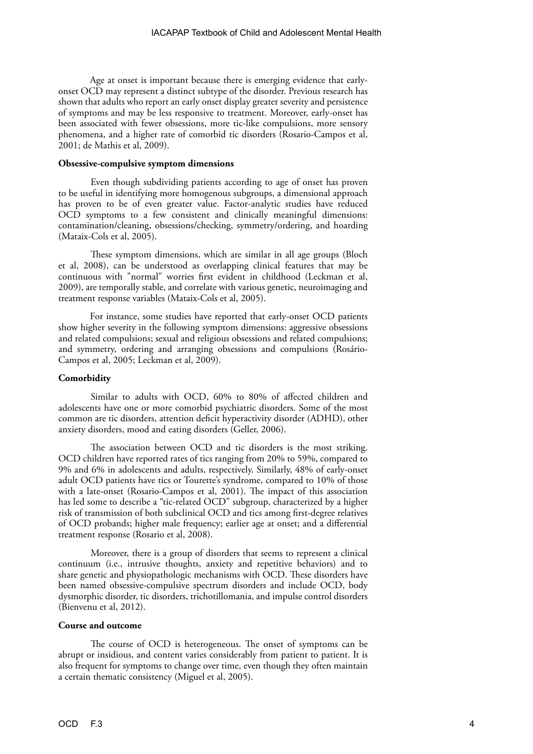Age at onset is important because there is emerging evidence that earlyonset OCD may represent a distinct subtype of the disorder. Previous research has shown that adults who report an early onset display greater severity and persistence of symptoms and may be less responsive to treatment. Moreover, early-onset has been associated with fewer obsessions, more tic-like compulsions, more sensory phenomena, and a higher rate of comorbid tic disorders (Rosario-Campos et al, 2001; de Mathis et al, 2009).

#### **Obsessive-compulsive symptom dimensions**

 Even though subdividing patients according to age of onset has proven to be useful in identifying more homogenous subgroups, a dimensional approach has proven to be of even greater value. Factor-analytic studies have reduced OCD symptoms to a few consistent and clinically meaningful dimensions: contamination/cleaning, obsessions/checking, symmetry/ordering, and hoarding (Mataix-Cols et al, 2005).

 These symptom dimensions, which are similar in all age groups (Bloch et al, 2008), can be understood as overlapping clinical features that may be continuous with "normal" worries first evident in childhood (Leckman et al, 2009), are temporally stable, and correlate with various genetic, neuroimaging and treatment response variables (Mataix-Cols et al, 2005).

For instance, some studies have reported that early-onset OCD patients show higher severity in the following symptom dimensions: aggressive obsessions and related compulsions; sexual and religious obsessions and related compulsions; and symmetry, ordering and arranging obsessions and compulsions (Rosário-Campos et al, 2005; Leckman et al, 2009).

### **Comorbidity**

Similar to adults with OCD, 60% to 80% of affected children and adolescents have one or more comorbid psychiatric disorders. Some of the most common are tic disorders, attention deficit hyperactivity disorder (ADHD), other anxiety disorders, mood and eating disorders (Geller, 2006).

The association between OCD and tic disorders is the most striking. OCD children have reported rates of tics ranging from 20% to 59%, compared to 9% and 6% in adolescents and adults, respectively. Similarly, 48% of early-onset adult OCD patients have tics or Tourette's syndrome, compared to 10% of those with a late-onset (Rosario-Campos et al, 2001). The impact of this association has led some to describe a "tic-related OCD" subgroup, characterized by a higher risk of transmission of both subclinical OCD and tics among first-degree relatives of OCD probands; higher male frequency; earlier age at onset; and a differential treatment response (Rosario et al, 2008).

Moreover, there is a group of disorders that seems to represent a clinical continuum (i.e., intrusive thoughts, anxiety and repetitive behaviors) and to share genetic and physiopathologic mechanisms with OCD. These disorders have been named obsessive-compulsive spectrum disorders and include OCD, body dysmorphic disorder, tic disorders, trichotillomania, and impulse control disorders (Bienvenu et al, 2012).

#### **Course and outcome**

The course of OCD is heterogeneous. The onset of symptoms can be abrupt or insidious, and content varies considerably from patient to patient. It is also frequent for symptoms to change over time, even though they often maintain a certain thematic consistency (Miguel et al, 2005).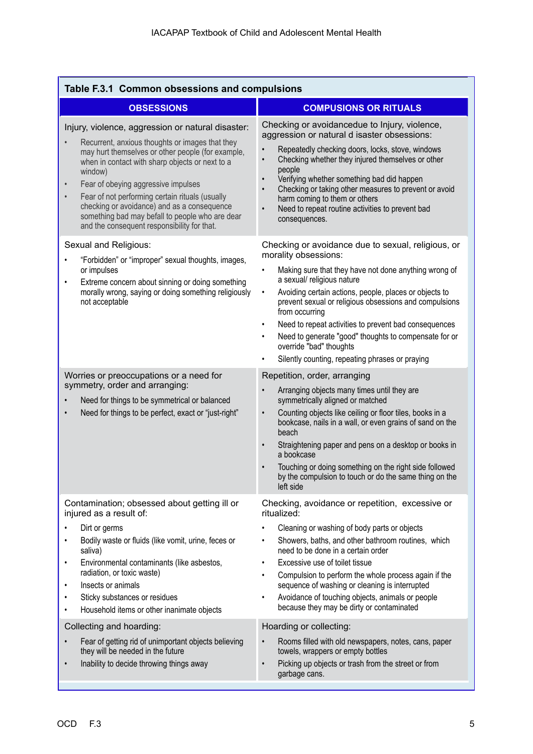| Table F.3.1 Common obsessions and compulsions                                                                                                                                                                                                                                                                                                                                                                                                                                                                                                        |                                                                                                                                                                                                                                                                                                                                                                                                                                                                                                                                                                                                                                                                      |  |  |  |
|------------------------------------------------------------------------------------------------------------------------------------------------------------------------------------------------------------------------------------------------------------------------------------------------------------------------------------------------------------------------------------------------------------------------------------------------------------------------------------------------------------------------------------------------------|----------------------------------------------------------------------------------------------------------------------------------------------------------------------------------------------------------------------------------------------------------------------------------------------------------------------------------------------------------------------------------------------------------------------------------------------------------------------------------------------------------------------------------------------------------------------------------------------------------------------------------------------------------------------|--|--|--|
| <b>OBSESSIONS</b>                                                                                                                                                                                                                                                                                                                                                                                                                                                                                                                                    | <b>COMPUSIONS OR RITUALS</b>                                                                                                                                                                                                                                                                                                                                                                                                                                                                                                                                                                                                                                         |  |  |  |
| Injury, violence, aggression or natural disaster:<br>Recurrent, anxious thoughts or images that they<br>may hurt themselves or other people (for example,<br>when in contact with sharp objects or next to a<br>window)<br>Fear of obeying aggressive impulses<br>$\bullet$<br>Fear of not performing certain rituals (usually<br>$\bullet$<br>checking or avoidance) and as a consequence<br>something bad may befall to people who are dear<br>and the consequent responsibility for that.                                                         | Checking or avoidancedue to Injury, violence,<br>aggression or natural d isaster obsessions:<br>Repeatedly checking doors, locks, stove, windows<br>Checking whether they injured themselves or other<br>$\bullet$<br>people<br>Verifying whether something bad did happen<br>Checking or taking other measures to prevent or avoid<br>harm coming to them or others<br>Need to repeat routine activities to prevent bad<br>consequences.                                                                                                                                                                                                                            |  |  |  |
| Sexual and Religious:<br>"Forbidden" or "improper" sexual thoughts, images,<br>or impulses<br>Extreme concern about sinning or doing something<br>$\bullet$<br>morally wrong, saying or doing something religiously<br>not acceptable                                                                                                                                                                                                                                                                                                                | Checking or avoidance due to sexual, religious, or<br>morality obsessions:<br>Making sure that they have not done anything wrong of<br>a sexual/ religious nature<br>Avoiding certain actions, people, places or objects to<br>٠<br>prevent sexual or religious obsessions and compulsions<br>from occurring<br>Need to repeat activities to prevent bad consequences<br>$\bullet$<br>Need to generate "good" thoughts to compensate for or<br>override "bad" thoughts<br>Silently counting, repeating phrases or praying                                                                                                                                            |  |  |  |
| Worries or preoccupations or a need for<br>symmetry, order and arranging:<br>Need for things to be symmetrical or balanced<br>Need for things to be perfect, exact or "just-right"                                                                                                                                                                                                                                                                                                                                                                   | Repetition, order, arranging<br>Arranging objects many times until they are<br>symmetrically aligned or matched<br>Counting objects like ceiling or floor tiles, books in a<br>$\bullet$<br>bookcase, nails in a wall, or even grains of sand on the<br>beach<br>Straightening paper and pens on a desktop or books in<br>a bookcase<br>Touching or doing something on the right side followed<br>by the compulsion to touch or do the same thing on the<br>left side                                                                                                                                                                                                |  |  |  |
| Contamination; obsessed about getting ill or<br>injured as a result of:<br>Dirt or germs<br>$\bullet$<br>Bodily waste or fluids (like vomit, urine, feces or<br>$\bullet$<br>saliva)<br>Environmental contaminants (like asbestos,<br>radiation, or toxic waste)<br>Insects or animals<br>٠<br>Sticky substances or residues<br>٠<br>Household items or other inanimate objects<br>Collecting and hoarding:<br>Fear of getting rid of unimportant objects believing<br>they will be needed in the future<br>Inability to decide throwing things away | Checking, avoidance or repetition, excessive or<br>ritualized:<br>Cleaning or washing of body parts or objects<br>Showers, baths, and other bathroom routines, which<br>need to be done in a certain order<br>Excessive use of toilet tissue<br>Compulsion to perform the whole process again if the<br>sequence of washing or cleaning is interrupted<br>Avoidance of touching objects, animals or people<br>because they may be dirty or contaminated<br>Hoarding or collecting:<br>Rooms filled with old newspapers, notes, cans, paper<br>towels, wrappers or empty bottles<br>Picking up objects or trash from the street or from<br>$\bullet$<br>garbage cans. |  |  |  |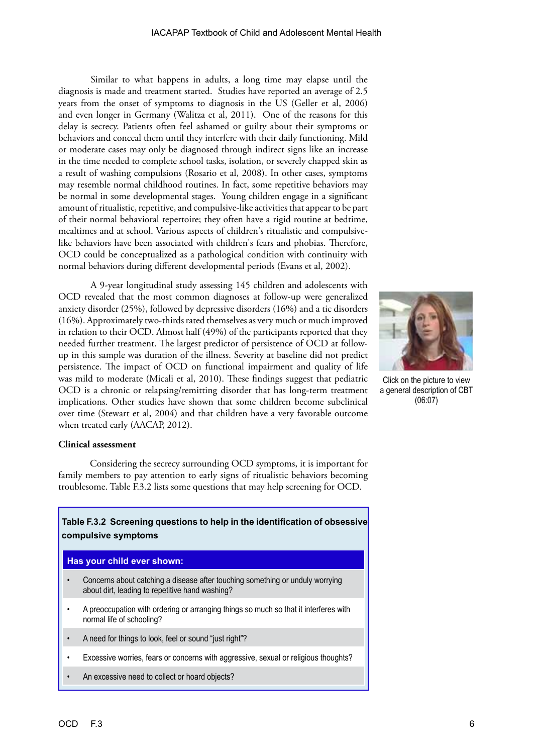Similar to what happens in adults, a long time may elapse until the diagnosis is made and treatment started. Studies have reported an average of 2.5 years from the onset of symptoms to diagnosis in the US (Geller et al, 2006) and even longer in Germany (Walitza et al, 2011). One of the reasons for this delay is secrecy. Patients often feel ashamed or guilty about their symptoms or behaviors and conceal them until they interfere with their daily functioning. Mild or moderate cases may only be diagnosed through indirect signs like an increase in the time needed to complete school tasks, isolation, or severely chapped skin as a result of washing compulsions (Rosario et al, 2008). In other cases, symptoms may resemble normal childhood routines. In fact, some repetitive behaviors may be normal in some developmental stages. Young children engage in a significant amount of ritualistic, repetitive, and compulsive-like activities that appear to be part of their normal behavioral repertoire; they often have a rigid routine at bedtime, mealtimes and at school. Various aspects of children's ritualistic and compulsivelike behaviors have been associated with children's fears and phobias. Therefore, OCD could be conceptualized as a pathological condition with continuity with normal behaviors during different developmental periods (Evans et al, 2002).

A 9-year longitudinal study assessing 145 children and adolescents with OCD revealed that the most common diagnoses at follow-up were generalized anxiety disorder (25%), followed by depressive disorders (16%) and a tic disorders (16%). Approximately two-thirds rated themselves as very much or much improved in relation to their OCD. Almost half (49%) of the participants reported that they needed further treatment. The largest predictor of persistence of OCD at followup in this sample was duration of the illness. Severity at baseline did not predict persistence. The impact of OCD on functional impairment and quality of life was mild to moderate (Micali et al, 2010). These findings suggest that pediatric OCD is a chronic or relapsing/remitting disorder that has long-term treatment implications. Other studies have shown that some children become subclinical over time (Stewart et al, 2004) and that children have a very favorable outcome when treated early (AACAP, 2012).



Click on the picture to view a general description of CBT (06:07)

# **Clinical assessment**

Considering the secrecy surrounding OCD symptoms, it is important for family members to pay attention to early signs of ritualistic behaviors becoming troublesome. Table F.3.2 lists some questions that may help screening for OCD.

# **Table F.3.2 Screening questions to help in the identification of obsessive compulsive symptoms**

#### **Has your child ever shown:**

- Concerns about catching a disease after touching something or unduly worrying about dirt, leading to repetitive hand washing?
- A preoccupation with ordering or arranging things so much so that it interferes with normal life of schooling?
- A need for things to look, feel or sound "just right"?
- Excessive worries, fears or concerns with aggressive, sexual or religious thoughts?
- An excessive need to collect or hoard objects?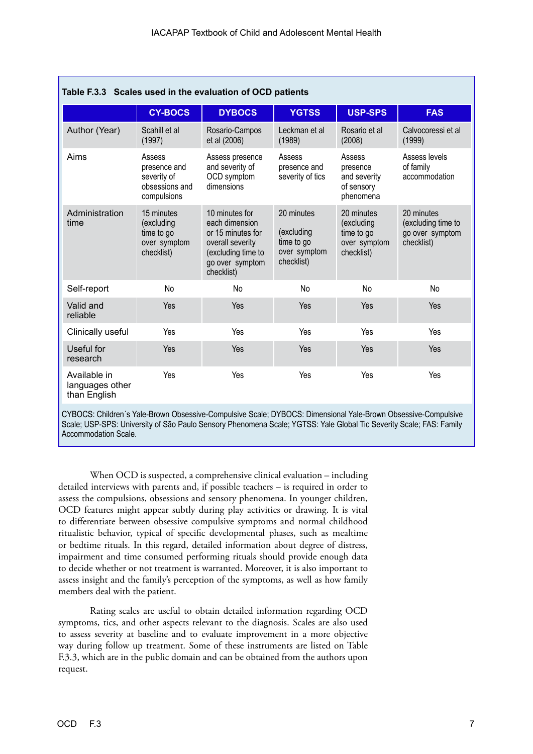| Table F.3.3 Scales used in the evaluation of OCD patients                                                     |                                                                        |                                                                                                                                  |                                                                      |                                                                      |                                                                   |
|---------------------------------------------------------------------------------------------------------------|------------------------------------------------------------------------|----------------------------------------------------------------------------------------------------------------------------------|----------------------------------------------------------------------|----------------------------------------------------------------------|-------------------------------------------------------------------|
|                                                                                                               | <b>CY-BOCS</b>                                                         | <b>DYBOCS</b>                                                                                                                    | <b>YGTSS</b>                                                         | <b>USP-SPS</b>                                                       | <b>FAS</b>                                                        |
| Author (Year)                                                                                                 | Scahill et al<br>(1997)                                                | Rosario-Campos<br>et al (2006)                                                                                                   | Leckman et al<br>(1989)                                              | Rosario et al<br>(2008)                                              | Calvocoressi et al<br>(1999)                                      |
| Aims                                                                                                          | Assess<br>presence and<br>severity of<br>obsessions and<br>compulsions | Assess presence<br>and severity of<br>OCD symptom<br>dimensions                                                                  | Assess<br>presence and<br>severity of tics                           | Assess<br>presence<br>and severity<br>of sensory<br>phenomena        | Assess levels<br>of family<br>accommodation                       |
| Administration<br>time                                                                                        | 15 minutes<br>(excluding<br>time to go<br>over symptom<br>checklist)   | 10 minutes for<br>each dimension<br>or 15 minutes for<br>overall severity<br>(excluding time to<br>go over symptom<br>checklist) | 20 minutes<br>(excluding<br>time to go<br>over symptom<br>checklist) | 20 minutes<br>(excluding<br>time to go<br>over symptom<br>checklist) | 20 minutes<br>(excluding time to<br>go over symptom<br>checklist) |
| Self-report                                                                                                   | No                                                                     | No                                                                                                                               | No                                                                   | No                                                                   | No                                                                |
| Valid and<br>reliable                                                                                         | Yes                                                                    | Yes                                                                                                                              | Yes                                                                  | Yes                                                                  | Yes                                                               |
| Clinically useful                                                                                             | Yes                                                                    | Yes                                                                                                                              | Yes                                                                  | Yes                                                                  | Yes                                                               |
| Useful for<br>research                                                                                        | Yes                                                                    | Yes                                                                                                                              | Yes                                                                  | Yes                                                                  | Yes                                                               |
| Available in<br>languages other<br>than English                                                               | Yes                                                                    | Yes                                                                                                                              | Yes                                                                  | Yes                                                                  | Yes                                                               |
| CYBOCS: Children's Yale-Brown Obsessive-Compulsive Scale; DYBOCS: Dimensional Yale-Brown Obsessive-Compulsive |                                                                        |                                                                                                                                  |                                                                      |                                                                      |                                                                   |

Scale; USP-SPS: University of São Paulo Sensory Phenomena Scale; YGTSS: Yale Global Tic Severity Scale; FAS: Family Accommodation Scale.

When OCD is suspected, a comprehensive clinical evaluation – including detailed interviews with parents and, if possible teachers – is required in order to assess the compulsions, obsessions and sensory phenomena. In younger children, OCD features might appear subtly during play activities or drawing. It is vital to differentiate between obsessive compulsive symptoms and normal childhood ritualistic behavior, typical of specific developmental phases, such as mealtime or bedtime rituals. In this regard, detailed information about degree of distress, impairment and time consumed performing rituals should provide enough data to decide whether or not treatment is warranted. Moreover, it is also important to assess insight and the family's perception of the symptoms, as well as how family members deal with the patient.

Rating scales are useful to obtain detailed information regarding OCD symptoms, tics, and other aspects relevant to the diagnosis. Scales are also used to assess severity at baseline and to evaluate improvement in a more objective way during follow up treatment. Some of these instruments are listed on Table F.3.3, which are in the public domain and can be obtained from the authors upon request.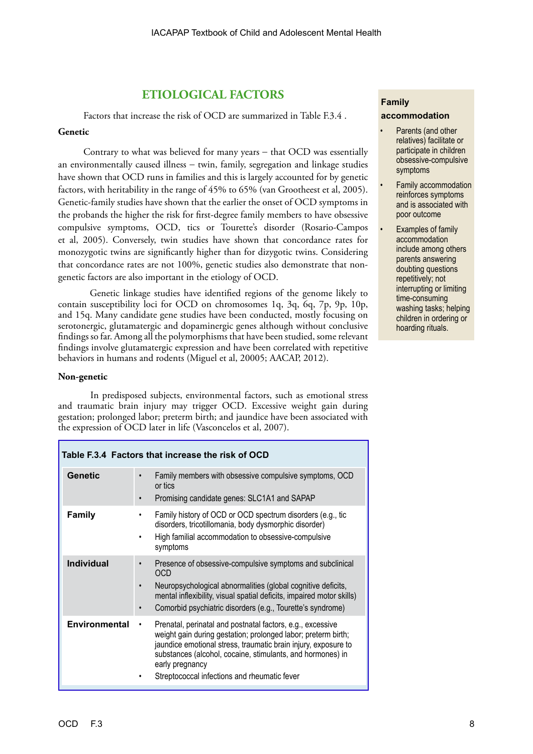# **ETIOLOGICAL FACTORS**

Factors that increase the risk of OCD are summarized in Table F.3.4 .

# **Genetic**

Contrary to what was believed for many years − that OCD was essentially an environmentally caused illness − twin, family, segregation and linkage studies have shown that OCD runs in families and this is largely accounted for by genetic factors, with heritability in the range of 45% to 65% (van Grootheest et al, 2005). Genetic-family studies have shown that the earlier the onset of OCD symptoms in the probands the higher the risk for first-degree family members to have obsessive compulsive symptoms, OCD, tics or Tourette's disorder (Rosario-Campos et al, 2005). Conversely, twin studies have shown that concordance rates for monozygotic twins are significantly higher than for dizygotic twins. Considering that concordance rates are not 100%, genetic studies also demonstrate that nongenetic factors are also important in the etiology of OCD.

Genetic linkage studies have identified regions of the genome likely to contain susceptibility loci for OCD on chromosomes 1q, 3q, 6q, 7p, 9p, 10p, and 15q. Many candidate gene studies have been conducted, mostly focusing on serotonergic, glutamatergic and dopaminergic genes although without conclusive findings so far. Among all the polymorphisms that have been studied, some relevant findings involve glutamatergic expression and have been correlated with repetitive behaviors in humans and rodents (Miguel et al, 20005; AACAP, 2012).

#### **Non-genetic**

In predisposed subjects, environmental factors, such as emotional stress and traumatic brain injury may trigger OCD. Excessive weight gain during gestation; prolonged labor; preterm birth; and jaundice have been associated with the expression of OCD later in life (Vasconcelos et al, 2007).

| Table F.3.4 Factors that increase the risk of OCD |                                                                                                                                                                                                                                                                                                                                     |  |  |  |
|---------------------------------------------------|-------------------------------------------------------------------------------------------------------------------------------------------------------------------------------------------------------------------------------------------------------------------------------------------------------------------------------------|--|--|--|
| <b>Genetic</b>                                    | Family members with obsessive compulsive symptoms, OCD<br>or tics<br>Promising candidate genes: SLC1A1 and SAPAP                                                                                                                                                                                                                    |  |  |  |
| <b>Family</b>                                     | Family history of OCD or OCD spectrum disorders (e.g., tic<br>disorders, tricotillomania, body dysmorphic disorder)<br>High familial accommodation to obsessive-compulsive<br>symptoms                                                                                                                                              |  |  |  |
| <b>Individual</b>                                 | Presence of obsessive-compulsive symptoms and subclinical<br>OCD<br>Neuropsychological abnormalities (global cognitive deficits,<br>mental inflexibility, visual spatial deficits, impaired motor skills)<br>Comorbid psychiatric disorders (e.g., Tourette's syndrome)                                                             |  |  |  |
| Environmental                                     | Prenatal, perinatal and postnatal factors, e.g., excessive<br>٠<br>weight gain during gestation; prolonged labor; preterm birth;<br>jaundice emotional stress, traumatic brain injury, exposure to<br>substances (alcohol, cocaine, stimulants, and hormones) in<br>early pregnancy<br>Streptococcal infections and rheumatic fever |  |  |  |

# **Family accommodation**

- Parents (and other relatives) facilitate or participate in children obsessive-compulsive symptoms
- Family accommodation reinforces symptoms and is associated with poor outcome
- **Examples of family** accommodation include among others parents answering doubting questions repetitively; not interrupting or limiting time-consuming washing tasks; helping children in ordering or hoarding rituals.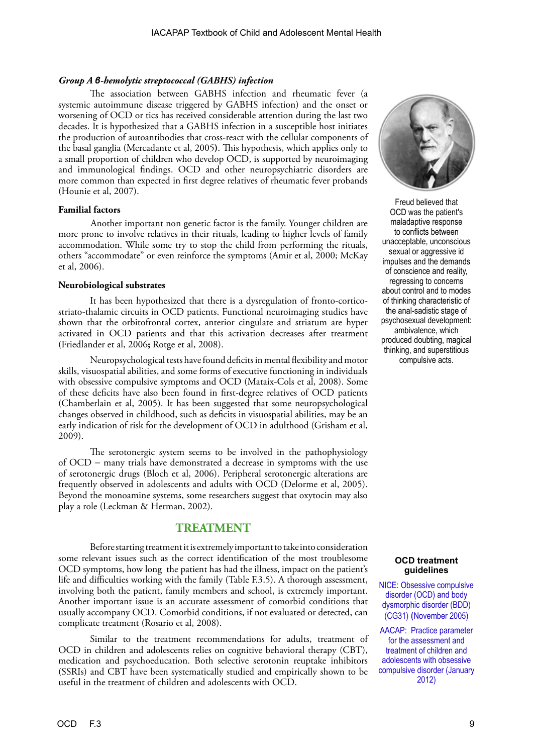#### *Group A β-hemolytic streptococcal (GABHS) infection*

The association between GABHS infection and rheumatic fever (a systemic autoimmune disease triggered by GABHS infection) and the onset or worsening of OCD or tics has received considerable attention during the last two decades. It is hypothesized that a GABHS infection in a susceptible host initiates the production of autoantibodies that cross-react with the cellular components of the basal ganglia (Mercadante et al, 2005**)**. This hypothesis, which applies only to a small proportion of children who develop OCD, is supported by neuroimaging and immunological findings. OCD and other neuropsychiatric disorders are more common than expected in first degree relatives of rheumatic fever probands (Hounie et al, 2007).

# **Familial factors**

Another important non genetic factor is the family. Younger children are more prone to involve relatives in their rituals, leading to higher levels of family accommodation. While some try to stop the child from performing the rituals, others "accommodate" or even reinforce the symptoms (Amir et al, 2000; McKay et al, 2006).

#### **Neurobiological substrates**

It has been hypothesized that there is a dysregulation of fronto-corticostriato-thalamic circuits in OCD patients. Functional neuroimaging studies have shown that the orbitofrontal cortex, anterior cingulate and striatum are hyper activated in OCD patients and that this activation decreases after treatment (Friedlander et al, 2006**;** Rotge et al, 2008).

Neuropsychological tests have found deficits in mental flexibility and motor skills, visuospatial abilities, and some forms of executive functioning in individuals with obsessive compulsive symptoms and OCD (Mataix-Cols et al, 2008). Some of these deficits have also been found in first-degree relatives of OCD patients (Chamberlain et al, 2005). It has been suggested that some neuropsychological changes observed in childhood, such as deficits in visuospatial abilities, may be an early indication of risk for the development of OCD in adulthood (Grisham et al, 2009).

The serotonergic system seems to be involved in the pathophysiology of OCD − many trials have demonstrated a decrease in symptoms with the use of serotonergic drugs (Bloch et al, 2006). Peripheral serotonergic alterations are frequently observed in adolescents and adults with OCD (Delorme et al, 2005). Beyond the monoamine systems, some researchers suggest that oxytocin may also play a role (Leckman & Herman, 2002).

# **TREATMENT**

Before starting treatment it is extremely important to take into consideration some relevant issues such as the correct identification of the most troublesome OCD symptoms, how long the patient has had the illness, impact on the patient's life and difficulties working with the family (Table F.3.5). A thorough assessment, involving both the patient, family members and school, is extremely important. Another important issue is an accurate assessment of comorbid conditions that usually accompany OCD. Comorbid conditions, if not evaluated or detected, can complicate treatment (Rosario et al, 2008).

Similar to the treatment recommendations for adults, treatment of OCD in children and adolescents relies on cognitive behavioral therapy (CBT), medication and psychoeducation. Both selective serotonin reuptake inhibitors (SSRIs) and CBT have been systematically studied and empirically shown to be useful in the treatment of children and adolescents with OCD.



Freud believed that OCD was the patient's maladaptive response to conflicts between unacceptable, unconscious sexual or aggressive id impulses and the demands of conscience and reality, regressing to concerns about control and to modes of thinking characteristic of the anal-sadistic stage of psychosexual development: ambivalence, which produced doubting, magical thinking, and superstitious compulsive acts.

#### **OCD treatment guidelines**

[NICE: Obsessive compulsive](www.nice.org.uk/CG31)  [disorder \(OCD\) and body](www.nice.org.uk/CG31)  [dysmorphic disorder \(BDD\)](www.nice.org.uk/CG31)  (CG31) ([November 2005\)](www.nice.org.uk/CG31)

[AACAP: Practice parameter](http://www.aacap.org/galleries/PracticeParameters/JAACAP_OCD_Jan_2012.pdf)  [for the assessment and](http://www.aacap.org/galleries/PracticeParameters/JAACAP_OCD_Jan_2012.pdf)  [treatment of children and](http://www.aacap.org/galleries/PracticeParameters/JAACAP_OCD_Jan_2012.pdf)  [adolescents with obsessive](http://www.aacap.org/galleries/PracticeParameters/JAACAP_OCD_Jan_2012.pdf)  [compulsive disorder \(January](http://www.aacap.org/galleries/PracticeParameters/JAACAP_OCD_Jan_2012.pdf) [2012\)](http://www.aacap.org/galleries/PracticeParameters/JAACAP_OCD_Jan_2012.pdf)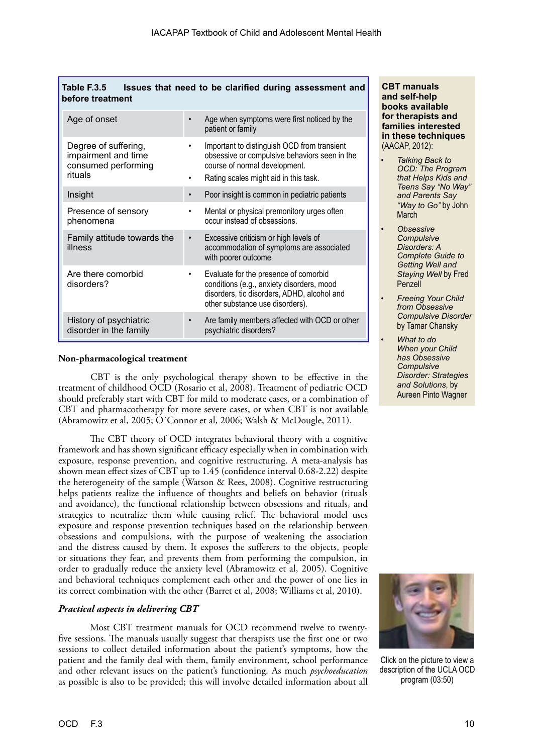| Table F.3.5      |  |  |  | Issues that need to be clarified during assessment and |  |
|------------------|--|--|--|--------------------------------------------------------|--|
| before treatment |  |  |  |                                                        |  |

| Age of onset                                                                  |           | Age when symptoms were first noticed by the<br>patient or family                                                                                                       |
|-------------------------------------------------------------------------------|-----------|------------------------------------------------------------------------------------------------------------------------------------------------------------------------|
| Degree of suffering,<br>impairment and time<br>consumed performing<br>rituals | ٠         | Important to distinguish OCD from transient<br>obsessive or compulsive behaviors seen in the<br>course of normal development.<br>Rating scales might aid in this task. |
| Insight                                                                       |           | Poor insight is common in pediatric patients                                                                                                                           |
| Presence of sensory<br>phenomena                                              |           | Mental or physical premonitory urges often<br>occur instead of obsessions.                                                                                             |
| Family attitude towards the<br>illness                                        | $\bullet$ | Excessive criticism or high levels of<br>accommodation of symptoms are associated<br>with poorer outcome                                                               |
| Are there comorbid<br>disorders?                                              | ٠         | Evaluate for the presence of comorbid<br>conditions (e.g., anxiety disorders, mood<br>disorders, tic disorders, ADHD, alcohol and<br>other substance use disorders).   |
| History of psychiatric<br>disorder in the family                              |           | Are family members affected with OCD or other<br>psychiatric disorders?                                                                                                |

# **Non-pharmacological treatment**

CBT is the only psychological therapy shown to be effective in the treatment of childhood OCD (Rosario et al, 2008). Treatment of pediatric OCD should preferably start with CBT for mild to moderate cases, or a combination of CBT and pharmacotherapy for more severe cases, or when CBT is not available (Abramowitz et al, 2005; O´Connor et al, 2006; Walsh & McDougle, 2011).

The CBT theory of OCD integrates behavioral theory with a cognitive framework and has shown significant efficacy especially when in combination with exposure, response prevention, and cognitive restructuring. A meta-analysis has shown mean effect sizes of CBT up to 1.45 (confidence interval 0.68-2.22) despite the heterogeneity of the sample (Watson & Rees, 2008). Cognitive restructuring helps patients realize the influence of thoughts and beliefs on behavior (rituals and avoidance), the functional relationship between obsessions and rituals, and strategies to neutralize them while causing relief. The behavioral model uses exposure and response prevention techniques based on the relationship between obsessions and compulsions, with the purpose of weakening the association and the distress caused by them. It exposes the sufferers to the objects, people or situations they fear, and prevents them from performing the compulsion, in order to gradually reduce the anxiety level (Abramowitz et al, 2005). Cognitive and behavioral techniques complement each other and the power of one lies in its correct combination with the other (Barret et al, 2008; Williams et al, 2010).

# *Practical aspects in delivering CBT*

Most CBT treatment manuals for OCD recommend twelve to twentyfive sessions. The manuals usually suggest that therapists use the first one or two sessions to collect detailed information about the patient's symptoms, how the patient and the family deal with them, family environment, school performance and other relevant issues on the patient's functioning. As much *psychoeducation* as possible is also to be provided; this will involve detailed information about all

**CBT manuals and self-help books available for therapists and families interested in these techniques** (AACAP, 2012):

- *• Talking Back to OCD: The Program that Helps Kids and Teens Say "No Way" and Parents Say "Way to Go"* by John **March**
- *<u>Obsessive</u> Compulsive Disorders: A Complete Guide to Getting Well and Staying Well* by Fred Penzell
- *Freeing Your Child from Obsessive Compulsive Disorder* by Tamar Chansky
- *• What to do When your Child has Obsessive Compulsive Disorder: Strategies and Solutions*, by Aureen Pinto Wagner



Click on the picture to view a description of the UCLA OCD program (03:50)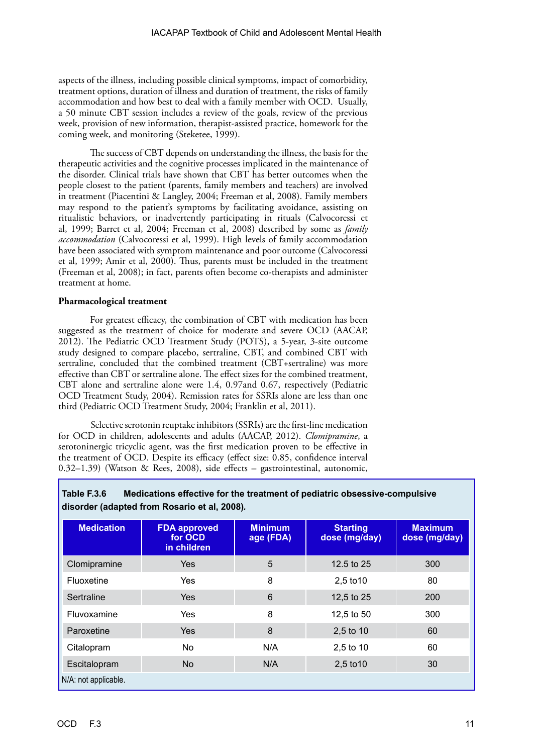aspects of the illness, including possible clinical symptoms, impact of comorbidity, treatment options, duration of illness and duration of treatment, the risks of family accommodation and how best to deal with a family member with OCD. Usually, a 50 minute CBT session includes a review of the goals, review of the previous week, provision of new information, therapist-assisted practice, homework for the coming week, and monitoring (Steketee, 1999).

The success of CBT depends on understanding the illness, the basis for the therapeutic activities and the cognitive processes implicated in the maintenance of the disorder. Clinical trials have shown that CBT has better outcomes when the people closest to the patient (parents, family members and teachers) are involved in treatment (Piacentini & Langley, 2004; Freeman et al, 2008). Family members may respond to the patient's symptoms by facilitating avoidance, assisting on ritualistic behaviors, or inadvertently participating in rituals (Calvocoressi et al, 1999; Barret et al, 2004; Freeman et al, 2008) described by some as *family accommodation* (Calvocoressi et al, 1999). High levels of family accommodation have been associated with symptom maintenance and poor outcome (Calvocoressi et al, 1999; Amir et al, 2000). Thus, parents must be included in the treatment (Freeman et al, 2008); in fact, parents often become co-therapists and administer treatment at home.

# **Pharmacological treatment**

For greatest efficacy, the combination of CBT with medication has been suggested as the treatment of choice for moderate and severe OCD (AACAP, 2012). The Pediatric OCD Treatment Study (POTS), a 5-year, 3-site outcome study designed to compare placebo, sertraline, CBT, and combined CBT with sertraline, concluded that the combined treatment (CBT+sertraline) was more effective than CBT or sertraline alone. The effect sizes for the combined treatment, CBT alone and sertraline alone were 1.4, 0.97and 0.67, respectively (Pediatric OCD Treatment Study, 2004). Remission rates for SSRIs alone are less than one third (Pediatric OCD Treatment Study, 2004; Franklin et al, 2011).

Selective serotonin reuptake inhibitors (SSRIs) are the first-line medication for OCD in children, adolescents and adults (AACAP, 2012). *Clomipramine*, a serotoninergic tricyclic agent, was the first medication proven to be effective in the treatment of OCD. Despite its efficacy (effect size: 0.85, confidence interval 0.32–1.39) (Watson & Rees, 2008), side effects – gastrointestinal, autonomic,

| disorder (adapted from Rosario et al. 2008). |                                               |                             |                                  |                                 |  |
|----------------------------------------------|-----------------------------------------------|-----------------------------|----------------------------------|---------------------------------|--|
| <b>Medication</b>                            | <b>FDA approved</b><br>for OCD<br>in children | <b>Minimum</b><br>age (FDA) | <b>Starting</b><br>dose (mg/day) | <b>Maximum</b><br>dose (mg/day) |  |
| Clomipramine                                 | <b>Yes</b>                                    | 5                           | 12.5 to 25                       | 300                             |  |
| Fluoxetine                                   | Yes                                           | 8                           | 2,5 to 10                        | 80                              |  |
| Sertraline                                   | <b>Yes</b>                                    | $6\phantom{1}$              | 12,5 to 25                       | 200                             |  |
| Fluvoxamine                                  | Yes                                           | 8                           | 12,5 to 50                       | 300                             |  |
| Paroxetine                                   | <b>Yes</b>                                    | 8                           | 2,5 to 10                        | 60                              |  |
| Citalopram                                   | <b>No</b>                                     | N/A                         | 2,5 to 10                        | 60                              |  |
| Escitalopram                                 | <b>No</b>                                     | N/A                         | $2,5$ to 10                      | 30                              |  |
| N/A: not applicable.                         |                                               |                             |                                  |                                 |  |

# **Table F.3.6 Medications effective for the treatment of pediatric obsessive-compulsive disorder (adapted from Rosario et al, 2008)***.*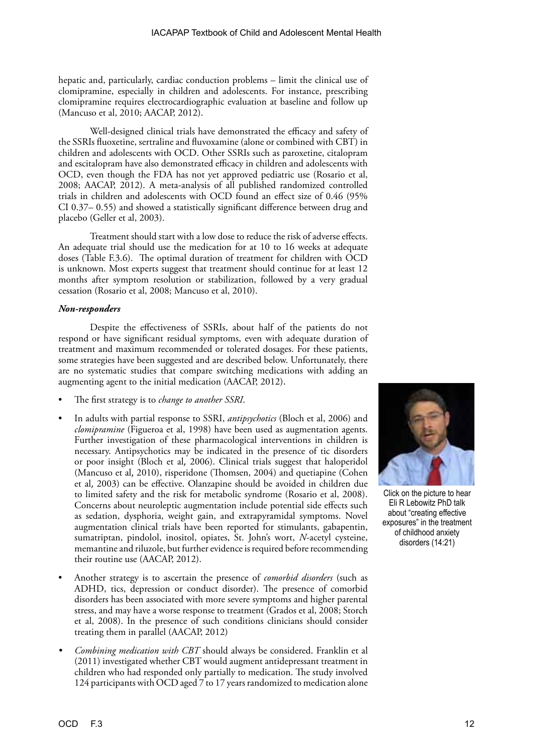hepatic and, particularly, cardiac conduction problems – limit the clinical use of clomipramine, especially in children and adolescents. For instance, prescribing clomipramine requires electrocardiographic evaluation at baseline and follow up (Mancuso et al, 2010; AACAP, 2012).

Well-designed clinical trials have demonstrated the efficacy and safety of the SSRIs fluoxetine, sertraline and fluvoxamine (alone or combined with CBT) in children and adolescents with OCD. Other SSRIs such as paroxetine, citalopram and escitalopram have also demonstrated efficacy in children and adolescents with OCD, even though the FDA has not yet approved pediatric use (Rosario et al, 2008; AACAP, 2012). A meta-analysis of all published randomized controlled trials in children and adolescents with OCD found an effect size of 0.46 (95% CI 0.37– 0.55) and showed a statistically significant difference between drug and placebo (Geller et al, 2003).

Treatment should start with a low dose to reduce the risk of adverse effects. An adequate trial should use the medication for at 10 to 16 weeks at adequate doses (Table F.3.6). The optimal duration of treatment for children with OCD is unknown. Most experts suggest that treatment should continue for at least 12 months after symptom resolution or stabilization, followed by a very gradual cessation (Rosario et al, 2008; Mancuso et al, 2010).

# *Non-responders*

Despite the effectiveness of SSRIs, about half of the patients do not respond or have significant residual symptoms, even with adequate duration of treatment and maximum recommended or tolerated dosages. For these patients, some strategies have been suggested and are described below. Unfortunately, there are no systematic studies that compare switching medications with adding an augmenting agent to the initial medication (AACAP, 2012).

- The first strategy is to *change to another SSRI*.
- In adults with partial response to SSRI, *antipsychotics* (Bloch et al, 2006) and *clomipramine* (Figueroa et al, 1998) have been used as augmentation agents. Further investigation of these pharmacological interventions in children is necessary. Antipsychotics may be indicated in the presence of tic disorders or poor insight (Bloch et al, 2006). Clinical trials suggest that haloperidol (Mancuso et al, 2010), risperidone (Thomsen, 2004) and quetiapine (Cohen et al, 2003) can be effective. Olanzapine should be avoided in children due to limited safety and the risk for metabolic syndrome (Rosario et al, 2008). Concerns about neuroleptic augmentation include potential side effects such as sedation, dysphoria, weight gain, and extrapyramidal symptoms. Novel augmentation clinical trials have been reported for stimulants, gabapentin, sumatriptan, pindolol, inositol, opiates, St. John's wort, *N*-acetyl cysteine, memantine and riluzole, but further evidence is required before recommending their routine use (AACAP, 2012).
- Another strategy is to ascertain the presence of *comorbid disorders* (such as ADHD, tics, depression or conduct disorder). The presence of comorbid disorders has been associated with more severe symptoms and higher parental stress, and may have a worse response to treatment (Grados et al, 2008; Storch et al, 2008). In the presence of such conditions clinicians should consider treating them in parallel (AACAP, 2012)
- *• Combining medication with CBT* should always be considered. Franklin et al (2011) investigated whether CBT would augment antidepressant treatment in children who had responded only partially to medication. The study involved 124 participants with OCD aged 7 to 17 years randomized to medication alone



Click on the picture to hear Eli R Lebowitz PhD talk about "creating effective exposures" in the treatment of childhood anxiety disorders (14:21)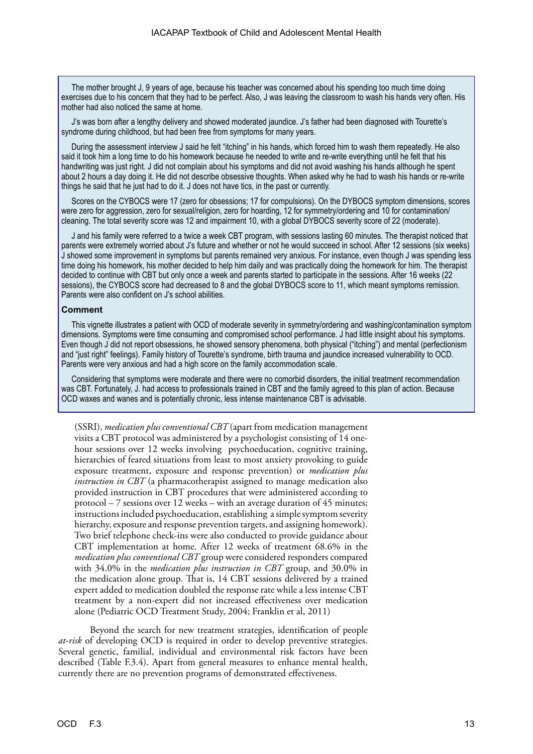The mother brought J, 9 years of age, because his teacher was concerned about his spending too much time doing exercises due to his concern that they had to be perfect. Also, J was leaving the classroom to wash his hands very often. His mother had also noticed the same at home.

J's was born after a lengthy delivery and showed moderated jaundice. J's father had been diagnosed with Tourette's syndrome during childhood, but had been free from symptoms for many years.

During the assessment interview J said he felt "itching" in his hands, which forced him to wash them repeatedly. He also said it took him a long time to do his homework because he needed to write and re-write everything until he felt that his handwriting was just right. J did not complain about his symptoms and did not avoid washing his hands although he spent about 2 hours a day doing it. He did not describe obsessive thoughts. When asked why he had to wash his hands or re-write things he said that he just had to do it. J does not have tics, in the past or currently.

Scores on the CYBOCS were 17 (zero for obsessions; 17 for compulsions). On the DYBOCS symptom dimensions, scores were zero for aggression, zero for sexual/religion, zero for hoarding, 12 for symmetry/ordering and 10 for contamination/ cleaning. The total severity score was 12 and impairment 10, with a global DYBOCS severity score of 22 (moderate).

J and his family were referred to a twice a week CBT program, with sessions lasting 60 minutes. The therapist noticed that parents were extremely worried about J's future and whether or not he would succeed in school. After 12 sessions (six weeks) J showed some improvement in symptoms but parents remained very anxious. For instance, even though J was spending less time doing his homework, his mother decided to help him daily and was practically doing the homework for him. The therapist decided to continue with CBT but only once a week and parents started to participate in the sessions. After 16 weeks (22 sessions), the CYBOCS score had decreased to 8 and the global DYBOCS score to 11, which meant symptoms remission. Parents were also confident on J's school abilities.

### **Comment**

This vignette illustrates a patient with OCD of moderate severity in symmetry/ordering and washing/contamination symptom dimensions. Symptoms were time consuming and compromised school performance. J had little insight about his symptoms. Even though J did not report obsessions, he showed sensory phenomena, both physical ("itching") and mental (perfectionism and "just right" feelings). Family history of Tourette's syndrome, birth trauma and jaundice increased vulnerability to OCD. Parents were very anxious and had a high score on the family accommodation scale.

Considering that symptoms were moderate and there were no comorbid disorders, the initial treatment recommendation was CBT. Fortunately, J. had access to professionals trained in CBT and the family agreed to this plan of action. Because OCD waxes and wanes and is potentially chronic, less intense maintenance CBT is advisable.

(SSRI), *medication plus conventional CBT* (apart from medication management visits a CBT protocol was administered by a psychologist consisting of 14 onehour sessions over 12 weeks involving psychoeducation, cognitive training, hierarchies of feared situations from least to most anxiety provoking to guide exposure treatment, exposure and response prevention) or *medication plus instruction in CBT* (a pharmacotherapist assigned to manage medication also provided instruction in CBT procedures that were administered according to protocol – 7 sessions over 12 weeks – with an average duration of 45 minutes; instructions included psychoeducation, establishing a simple symptom severity hierarchy, exposure and response prevention targets, and assigning homework). Two brief telephone check-ins were also conducted to provide guidance about CBT implementation at home. After 12 weeks of treatment 68.6% in the *medication plus conventional CBT* group were considered responders compared with 34.0% in the *medication plus instruction in CBT* group, and 30.0% in the medication alone group. That is, 14 CBT sessions delivered by a trained expert added to medication doubled the response rate while a less intense CBT treatment by a non-expert did not increased effectiveness over medication alone (Pediatric OCD Treatment Study, 2004; Franklin et al, 2011)

Beyond the search for new treatment strategies, identification of people *at-risk* of developing OCD is required in order to develop preventive strategies. Several genetic, familial, individual and environmental risk factors have been described (Table F.3.4). Apart from general measures to enhance mental health, currently there are no prevention programs of demonstrated effectiveness.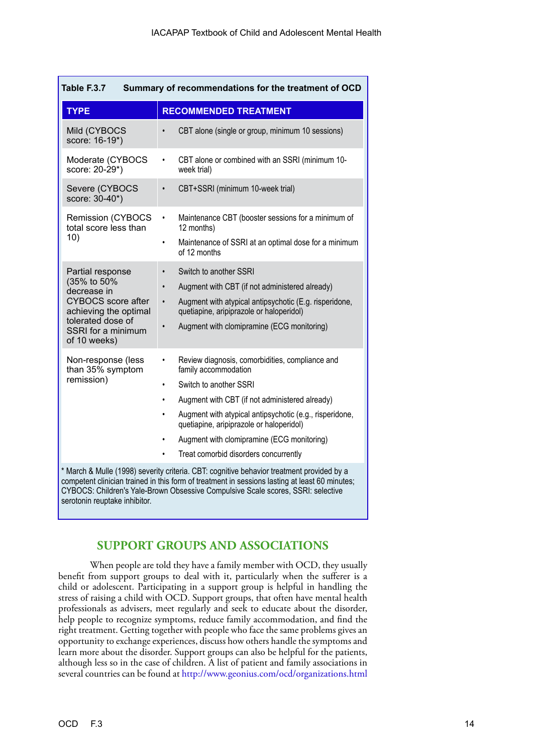| Table F.3.7<br>Summary of recommendations for the treatment of OCD                                                                                                                                                                                                                                               |                                                                                                                                                                                                                                                                                                                                                                                                                                 |  |  |  |
|------------------------------------------------------------------------------------------------------------------------------------------------------------------------------------------------------------------------------------------------------------------------------------------------------------------|---------------------------------------------------------------------------------------------------------------------------------------------------------------------------------------------------------------------------------------------------------------------------------------------------------------------------------------------------------------------------------------------------------------------------------|--|--|--|
| <b>TYPE</b>                                                                                                                                                                                                                                                                                                      | <b>RECOMMENDED TREATMENT</b>                                                                                                                                                                                                                                                                                                                                                                                                    |  |  |  |
| Mild (CYBOCS<br>score: 16-19*)                                                                                                                                                                                                                                                                                   | CBT alone (single or group, minimum 10 sessions)                                                                                                                                                                                                                                                                                                                                                                                |  |  |  |
| Moderate (CYBOCS<br>score: 20-29*)                                                                                                                                                                                                                                                                               | CBT alone or combined with an SSRI (minimum 10-<br>week trial)                                                                                                                                                                                                                                                                                                                                                                  |  |  |  |
| Severe (CYBOCS<br>score: 30-40*)                                                                                                                                                                                                                                                                                 | CBT+SSRI (minimum 10-week trial)<br>$\bullet$                                                                                                                                                                                                                                                                                                                                                                                   |  |  |  |
| <b>Remission (CYBOCS</b><br>total score less than<br>10)                                                                                                                                                                                                                                                         | Maintenance CBT (booster sessions for a minimum of<br>$\bullet$<br>12 months)<br>Maintenance of SSRI at an optimal dose for a minimum<br>$\bullet$<br>of 12 months                                                                                                                                                                                                                                                              |  |  |  |
| Partial response<br>(35% to 50%<br>decrease in<br><b>CYBOCS</b> score after<br>achieving the optimal<br>tolerated dose of<br>SSRI for a minimum<br>of 10 weeks)                                                                                                                                                  | Switch to another SSRI<br>$\bullet$<br>Augment with CBT (if not administered already)<br>$\bullet$<br>Augment with atypical antipsychotic (E.g. risperidone,<br>$\bullet$<br>quetiapine, aripiprazole or haloperidol)<br>Augment with clomipramine (ECG monitoring)<br>$\bullet$                                                                                                                                                |  |  |  |
| Non-response (less<br>than 35% symptom<br>remission)                                                                                                                                                                                                                                                             | Review diagnosis, comorbidities, compliance and<br>$\bullet$<br>family accommodation<br>Switch to another SSRI<br>$\bullet$<br>Augment with CBT (if not administered already)<br>$\bullet$<br>Augment with atypical antipsychotic (e.g., risperidone,<br>$\bullet$<br>quetiapine, aripiprazole or haloperidol)<br>Augment with clomipramine (ECG monitoring)<br>$\bullet$<br>Treat comorbid disorders concurrently<br>$\bullet$ |  |  |  |
| * March & Mulle (1998) severity criteria. CBT: cognitive behavior treatment provided by a<br>competent clinician trained in this form of treatment in sessions lasting at least 60 minutes;<br>CYBOCS: Children's Yale-Brown Obsessive Compulsive Scale scores, SSRI: selective<br>serotonin reuptake inhibitor. |                                                                                                                                                                                                                                                                                                                                                                                                                                 |  |  |  |

# **SUPPORT GROUPS AND ASSOCIATIONS**

When people are told they have a family member with OCD, they usually benefit from support groups to deal with it, particularly when the sufferer is a child or adolescent. Participating in a support group is helpful in handling the stress of raising a child with OCD. Support groups, that often have mental health professionals as advisers, meet regularly and seek to educate about the disorder, help people to recognize symptoms, reduce family accommodation, and find the right treatment. Getting together with people who face the same problems gives an opportunity to exchange experiences, discuss how others handle the symptoms and learn more about the disorder. Support groups can also be helpful for the patients, although less so in the case of children. A list of patient and family associations in several countries can be found at<http://www.geonius.com/ocd/organizations.html>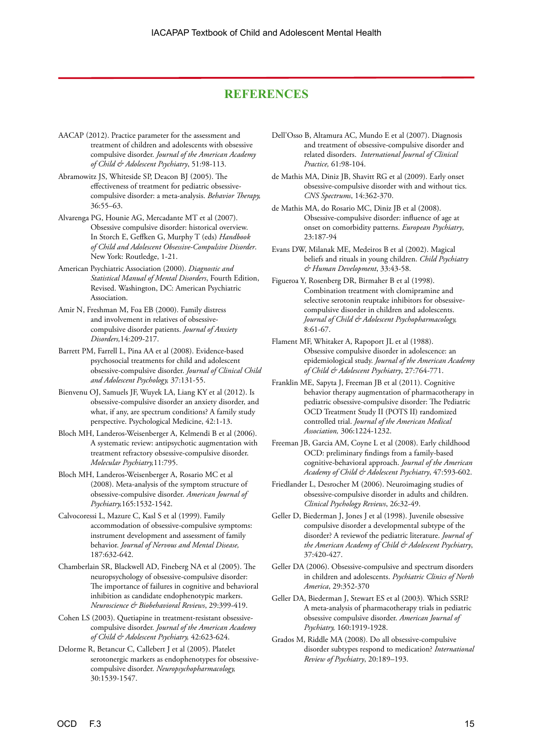# **REFERENCES**

- AAcap (2012). Practice parameter for the assessment and treatment of children and adolescents with obsessive compulsive disorder. *Journal of the American Academy of Child & Adolescent Psychiatry*, 51:98-113.
- Abramowitz JS, Whiteside SP, Deacon BJ (2005). The effectiveness of treatment for pediatric obsessivecompulsive disorder: a meta-analysis. *Behavior Therapy,* 36:55–63.
- Alvarenga PG, Hounie AG, Mercadante MT et al (2007). Obsessive compulsive disorder: historical overview. In Storch E, Geffken G, Murphy T (eds) *Handbook of Child and Adolescent Obsessive-Compulsive Disorder*. New York: Routledge, 1-21.
- American Psychiatric Association (2000). *Diagnostic and Statistical Manual of Mental Disorders*, Fourth Edition, Revised. Washington, DC: American Psychiatric Association.
- Amir N, Freshman M, Foa EB (2000). Family distress and involvement in relatives of obsessivecompulsive disorder patients. *Journal of Anxiety Disorders,*14:209-217.
- Barrett PM, Farrell L, Pina AA et al (2008). Evidence-based psychosocial treatments for child and adolescent obsessive-compulsive disorder. *Journal of Clinical Child and Adolescent Psychology,* 37:131-55.
- Bienvenu OJ, Samuels JF, Wuyek LA, Liang KY et al (2012). Is obsessive-compulsive disorder an anxiety disorder, and what, if any, are spectrum conditions? A family study perspective. Psychological Medicine, 42:1-13.
- Bloch MH, Landeros-Weisenberger A, Kelmendi B et al (2006). A systematic review: antipsychotic augmentation with treatment refractory obsessive-compulsive disorder. *Molecular Psychiatry,*11:795.
- Bloch MH, Landeros-Weisenberger A, Rosario MC et al (2008). Meta-analysis of the symptom structure of obsessive-compulsive disorder. *American Journal of Psychiatry,*165:1532-1542.
- Calvocoressi L, Mazure C, Kasl S et al (1999). Family accommodation of obsessive-compulsive symptoms: instrument development and assessment of family behavior. *Journal of Nervous and Mental Disease,*  187:632-642.
- Chamberlain SR, Blackwell AD, Fineberg NA et al (2005). The neuropsychology of obsessive-compulsive disorder: The importance of failures in cognitive and behavioral inhibition as candidate endophenotypic markers. *Neuroscience & Biobehavioral Reviews*, 29:399-419.
- Cohen LS (2003). Quetiapine in treatment-resistant obsessivecompulsive disorder. *Journal of the American Academy of Child & Adolescent Psychiatry,* 42:623-624.
- Delorme R, Betancur C, Callebert J et al (2005). Platelet serotonergic markers as endophenotypes for obsessivecompulsive disorder. *Neuropsychopharmacology,* 30:1539-1547.
- Dell'Osso B, Altamura AC, Mundo E et al (2007). Diagnosis and treatment of obsessive-compulsive disorder and related disorders. *International Journal of Clinical Practice,* 61:98-104.
- de Mathis MA, Diniz JB, Shavitt RG et al (2009). Early onset obsessive-compulsive disorder with and without tics. *CNS Spectrums*, 14:362-370.
- de Mathis MA, do Rosario MC, Diniz JB et al (2008). Obsessive-compulsive disorder: influence of age at onset on comorbidity patterns. *European Psychiatry*, 23:187-94
- Evans DW, Milanak ME, Medeiros B et al (2002). Magical beliefs and rituals in young children. *Child Psychiatry & Human Development*, 33:43-58.
- Figueroa Y, Rosenberg DR, Birmaher B et al (1998). Combination treatment with clomipramine and selective serotonin reuptake inhibitors for obsessivecompulsive disorder in children and adolescents. *Journal of Child & Adolescent Psychopharmacology,* 8:61-67.
- Flament MF, Whitaker A, Rapoport JL et al (1988). Obsessive compulsive disorder in adolescence: an epidemiological study. *Journal of the American Academy of Child & Adolescent Psychiatry*, 27:764-771.
- Franklin ME, Sapyta J, Freeman JB et al (2011). Cognitive behavior therapy augmentation of pharmacotherapy in pediatric obsessive-compulsive disorder: The Pediatric OCD Treatment Study II (POTS II) randomized controlled trial. *Journal of the American Medical Association,* 306:1224-1232.
- Freeman JB, Garcia AM, Coyne L et al (2008). Early childhood OCD: preliminary findings from a family-based cognitive-behavioral approach. *Journal of the American Academy of Child & Adolescent Psychiatry*, 47:593-602.
- Friedlander L, Desrocher M (2006). Neuroimaging studies of obsessive-compulsive disorder in adults and children. *Clinical Psychology Reviews*, 26:32-49.
- Geller D, Biederman J, Jones J et al (1998). Juvenile obsessive compulsive disorder a developmental subtype of the disorder? A reviewof the pediatric literature. *Journal of the American Academy of Child & Adolescent Psychiatry*, 37:420-427.
- Geller DA (2006). Obsessive-compulsive and spectrum disorders in children and adolescents. *Psychiatric Clinics of North America*, 29:352-370
- Geller DA, Biederman J, Stewart ES et al (2003)*.* Which SSRI? A meta-analysis of pharmacotherapy trials in pediatric obsessive compulsive disorder. *American Journal of Psychiatry,* 160:1919-1928.
- Grados M, Riddle MA (2008). Do all obsessive-compulsive disorder subtypes respond to medication? *International Review of Psychiatry*, 20:189–193.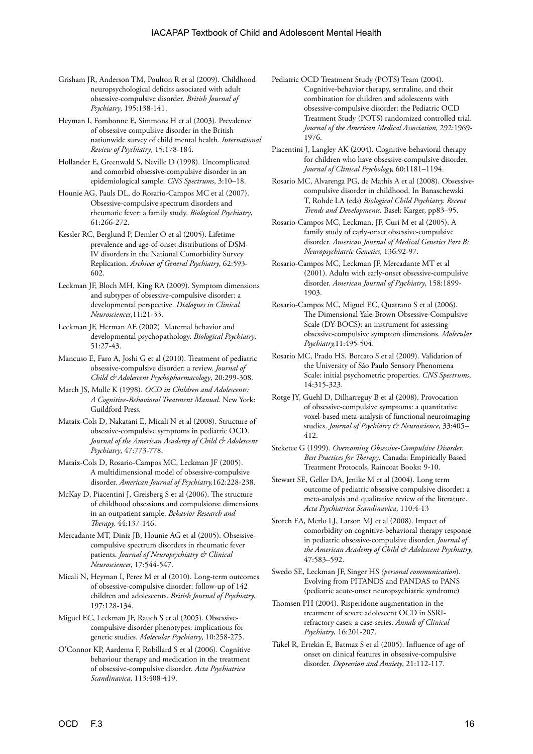- Grisham JR, Anderson TM, Poulton R et al (2009). Childhood neuropsychological deficits associated with adult obsessive-compulsive disorder. *British Journal of Psychiatry*, 195:138-141.
- Heyman I, Fombonne E, Simmons H et al (2003). Prevalence of obsessive compulsive disorder in the British nationwide survey of child mental health. *International Review of Psychiatry*, 15:178-184.
- Hollander E, Greenwald S, Neville D (1998). Uncomplicated and comorbid obsessive-compulsive disorder in an epidemiological sample. *CNS Spectrums*, 3:10–18.
- Hounie AG, Pauls DL, do Rosario-Campos MC et al (2007). Obsessive-compulsive spectrum disorders and rheumatic fever: a family study. *Biological Psychiatry*, 61:266-272.
- Kessler RC, Berglund P, Demler O et al (2005). Lifetime prevalence and age-of-onset distributions of DSM-IV disorders in the National Comorbidity Survey Replication. *Archives of General Psychiatry*, 62:593- 602.
- Leckman JF, Bloch MH, King RA (2009). Symptom dimensions and subtypes of obsessive-compulsive disorder: a developmental perspective. *Dialogues in Clinical Neurosciences*,11:21-33.
- Leckman JF, Herman AE (2002). Maternal behavior and developmental psychopathology. *Biological Psychiatry*, 51:27-43.
- Mancuso E, Faro A, Joshi G et al (2010). Treatment of pediatric obsessive-compulsive disorder: a review. *Journal of Child & Adolescent Psychopharmacology*, 20:299-308.
- March JS, Mulle K (1998). *OCD in Children and Adolescents: A Cognitive-Behavioral Treatment Manual*. New York: Guildford Press.
- Mataix-Cols D, Nakatani E, Micali N et al (2008). Structure of obsessive-compulsive symptoms in pediatric OCD. *Journal of the American Academy of Child & Adolescent Psychiatry*, 47:773-778.
- Mataix-Cols D, Rosario-Campos MC, Leckman JF (2005). A multidimensional model of obsessive-compulsive disorder. *American Journal of Psychiatry,*162:228-238.
- McKay D, Piacentini J, Greisberg S et al (2006). The structure of childhood obsessions and compulsions: dimensions in an outpatient sample. *Behavior Research and Therapy,* 44:137-146.
- Mercadante MT, Diniz JB, Hounie AG et al (2005). Obsessivecompulsive spectrum disorders in rheumatic fever patients. *Journal of Neuropsychiatry & Clinical Neurosciences*, 17:544-547.
- Micali N, Heyman I, Perez M et al (2010). Long-term outcomes of obsessive-compulsive disorder: follow-up of 142 children and adolescents. *British Journal of Psychiatry*, 197:128-134.
- Miguel EC, Leckman JF, Rauch S et al (2005). Obsessivecompulsive disorder phenotypes: implications for genetic studies. *Molecular Psychiatry*, 10:258-275.
- O'Connor KP, Aardema F, Robillard S et al (2006). Cognitive behaviour therapy and medication in the treatment of obsessive-compulsive disorder. *Acta Psychiatrica Scandinavica*, 113:408-419.
- Pediatric OCD Treatment Study (POTS) Team (2004). Cognitive-behavior therapy, sertraline, and their combination for children and adolescents with obsessive-compulsive disorder: the Pediatric OCD Treatment Study (POTS) randomized controlled trial. *Journal of the American Medical Association,* 292:1969- 1976.
- Piacentini J, Langley AK (2004). Cognitive-behavioral therapy for children who have obsessive-compulsive disorder. *Journal of Clinical Psychology,* 60:1181–1194.
- Rosario MC, Alvarenga PG, de Mathis A et al (2008). Obsessivecompulsive disorder in childhood. In Banaschewski T, Rohde LA (eds) *Biological Child Psychiatry. Recent Trends and Developments.* Basel: Karger, pp83–95.
- Rosario-Campos MC, Leckman, JF, Curi M et al (2005). A family study of early-onset obsessive-compulsive disorder. *American Journal of Medical Genetics Part B: Neuropsychiatric Genetics*, 136:92-97.
- Rosario-Campos MC, Leckman JF, Mercadante MT et al (2001). Adults with early-onset obsessive-compulsive disorder. *American Journal of Psychiatry*, 158:1899- 1903.
- Rosario-Campos MC, Miguel EC, Quatrano S et al (2006). The Dimensional Yale-Brown Obsessive-Compulsive Scale (DY-BOCS): an instrument for assessing obsessive-compulsive symptom dimensions. *Molecular Psychiatry,*11:495-504.
- Rosario MC, Prado HS, Borcato S et al (2009). Validation of the University of São Paulo Sensory Phenomena Scale: initial psychometric properties. *CNS Spectrums*, 14:315-323.
- Rotge JY, Guehl D, Dilharreguy B et al (2008). Provocation of obsessive-compulsive symptoms: a quantitative voxel-based meta-analysis of functional neuroimaging studies. *Journal of Psychiatry & Neuroscience*, 33:405– 412.
- Steketee G (1999). *Overcoming Obsessive-Compulsive Disorder. Best Practices for Therapy*. Canada: Empirically Based Treatment Protocols, Raincoat Books: 9-10.
- Stewart SE, Geller DA, Jenike M et al (2004). Long term outcome of pediatric obsessive compulsive disorder: a meta-analysis and qualitative review of the literature. *Acta Psychiatrica Scandinavica*, 110:4-13
- Storch EA, Merlo LJ, Larson MJ et al (2008). Impact of comorbidity on cognitive-behavioral therapy response in pediatric obsessive-compulsive disorder. *Journal of the American Academy of Child & Adolescent Psychiatry*, 47:583–592.
- Swedo SE, Leckman JF, Singer HS *(personal communication*). Evolving from PITANDS and PANDAS to PANS (pediatric acute-onset neuropsychiatric syndrome)
- Thomsen PH (2004). Risperidone augmentation in the treatment of severe adolescent OCD in SSRIrefractory cases: a case-series. *Annals of Clinical Psychiatry*, 16:201-207.
- Tükel R, Ertekin E, Batmaz S et al (2005). Influence of age of onset on clinical features in obsessive-compulsive disorder. *Depression and Anxiety*, 21:112-117.